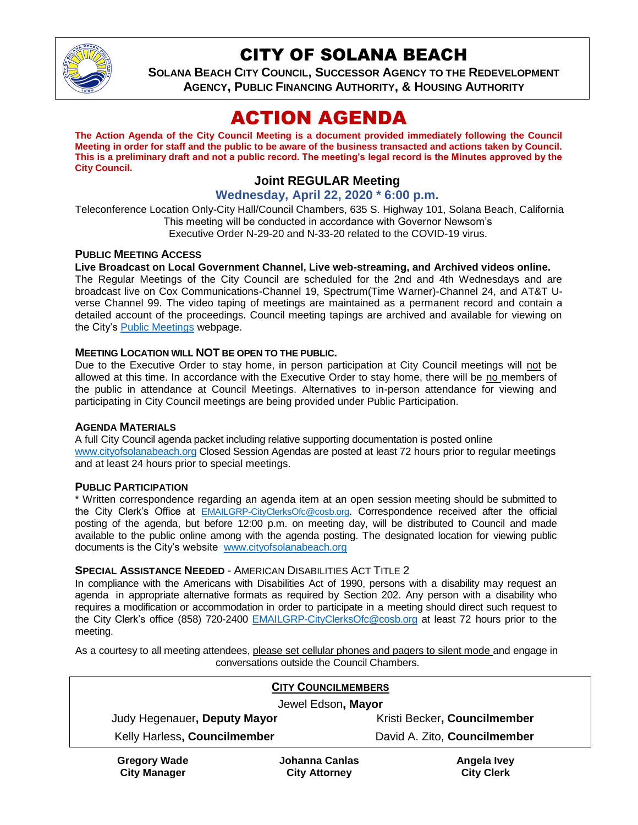

# CITY OF SOLANA BEACH

**SOLANA BEACH CITY COUNCIL, SUCCESSOR AGENCY TO THE REDEVELOPMENT AGENCY, PUBLIC FINANCING AUTHORITY, & HOUSING AUTHORITY**

# ACTION AGENDA

**The Action Agenda of the City Council Meeting is a document provided immediately following the Council Meeting in order for staff and the public to be aware of the business transacted and actions taken by Council. This is a preliminary draft and not a public record. The meeting's legal record is the Minutes approved by the City Council.**

# **Joint REGULAR Meeting**

## **Wednesday, April 22, 2020 \* 6:00 p.m.**

Teleconference Location Only-City Hall/Council Chambers, 635 S. Highway 101, Solana Beach, California This meeting will be conducted in accordance with Governor Newsom's Executive Order N-29-20 and N-33-20 related to the COVID-19 virus.

#### **PUBLIC MEETING ACCESS**

#### **Live Broadcast on Local Government Channel, Live web-streaming, and Archived videos online.**

The Regular Meetings of the City Council are scheduled for the 2nd and 4th Wednesdays and are broadcast live on Cox Communications-Channel 19, Spectrum(Time Warner)-Channel 24, and AT&T Uverse Channel 99. The video taping of meetings are maintained as a permanent record and contain a detailed account of the proceedings. Council meeting tapings are archived and available for viewing on the City's **Public Meetings** webpage.

#### **MEETING LOCATION WILL NOT BE OPEN TO THE PUBLIC.**

Due to the Executive Order to stay home, in person participation at City Council meetings will not be allowed at this time. In accordance with the Executive Order to stay home, there will be no members of the public in attendance at Council Meetings. Alternatives to in-person attendance for viewing and participating in City Council meetings are being provided under Public Participation.

#### **AGENDA MATERIALS**

A full City Council agenda packet including relative supporting documentation is posted online [www.cityofsolanabeach.org](https://urldefense.proofpoint.com/v2/url?u=http-3A__www.cityofsolanabeach.org&d=DwQFAg&c=euGZstcaTDllvimEN8b7jXrwqOf-v5A_CdpgnVfiiMM&r=1XAsCUuqwK_tji2t0s1uIQ&m=wny2RVfZJ2tN24LkqZmkUWNpwL_peNtTZUBlTBZiMM4&s=6ATguqxJUOD7VVtloplAbyuyNaVcEh6Fl4q1iw55lCY&e=) Closed Session Agendas are posted at least 72 hours prior to regular meetings and at least 24 hours prior to special meetings.

#### <span id="page-0-0"></span>**PUBLIC PARTICIPATION**

\* Written correspondence regarding an agenda item at an open session meeting should be submitted to the City Clerk's Office at [EMAILGRP-CityClerksOfc@cosb.org](mailto:EMAILGRP-CityClerksOfc@cosb.org). Correspondence received after the official posting of the agenda, but before 12:00 p.m. on meeting day, will be distributed to Council and made available to the public online among with the agenda posting. The designated location for viewing public documents is the City's website [www.cityofsolanabeach.org](http://www.cityofsolanabeach.org/)

#### **SPECIAL ASSISTANCE NEEDED** - AMERICAN DISABILITIES ACT TITLE 2

In compliance with the Americans with Disabilities Act of 1990, persons with a disability may request an agenda in appropriate alternative formats as required by Section 202. Any person with a disability who requires a modification or accommodation in order to participate in a meeting should direct such request to the City Clerk's office (858) 720-2400 [EMAILGRP-CityClerksOfc@cosb.org](mailto:EMAILGRP-CityClerksOfc@cosb.org) at least 72 hours prior to the meeting.

As a courtesy to all meeting attendees, please set cellular phones and pagers to silent mode and engage in conversations outside the Council Chambers.

| <b>CITY COUNCILMEMBERS</b>   |                              |
|------------------------------|------------------------------|
| Jewel Edson, Mayor           |                              |
| Judy Hegenauer, Deputy Mayor | Kristi Becker, Councilmember |
| Kelly Harless, Councilmember | David A. Zito, Councilmember |
|                              |                              |

**Gregory Wade City Manager**

**Johanna Canlas City Attorney**

**Angela Ivey City Clerk**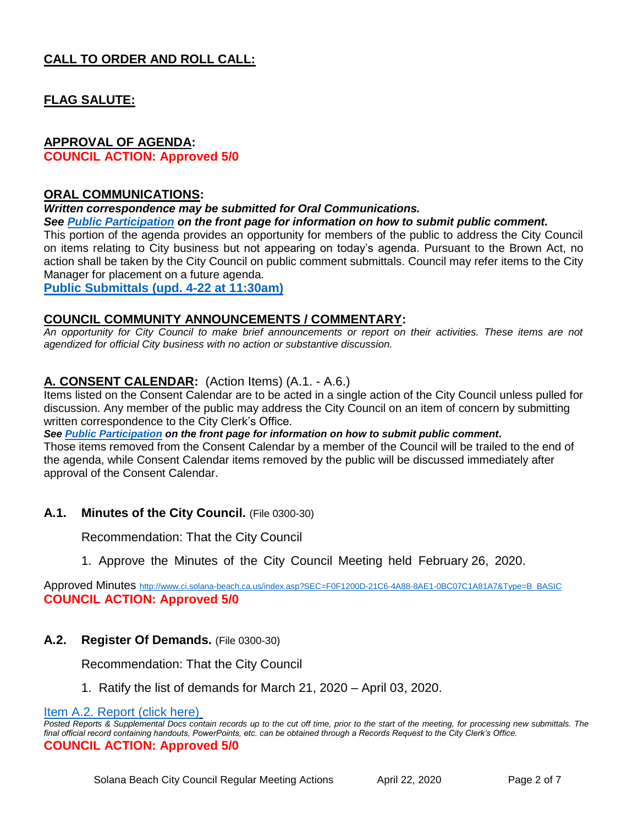# **CALL TO ORDER AND ROLL CALL:**

## **FLAG SALUTE:**

## **APPROVAL OF AGENDA:**

**COUNCIL ACTION: Approved 5/0**

#### **ORAL COMMUNICATIONS:**

*Written correspondence may be submitted for Oral Communications.* 

#### *See [Public Participation](#page-0-0) on the front page for information on how to submit public comment.*

This portion of the agenda provides an opportunity for members of the public to address the City Council on items relating to City business but not appearing on today's agenda. Pursuant to the Brown Act, no action shall be taken by the City Council on public comment submittals. Council may refer items to the City Manager for placement on a future agenda.

**Public [Submittals \(upd. 4-22 at 11:30am\)](https://solanabeach.govoffice3.com/vertical/Sites/%7B840804C2-F869-4904-9AE3-720581350CE7%7D/uploads/1_-_Oral_Comm_(P._Walker)_-_4-22_(1030am)_-_R.pdf)**

#### **COUNCIL COMMUNITY ANNOUNCEMENTS / COMMENTARY:**

*An opportunity for City Council to make brief announcements or report on their activities. These items are not agendized for official City business with no action or substantive discussion.* 

## **A. CONSENT CALENDAR:** (Action Items) (A.1. - A.6.)

Items listed on the Consent Calendar are to be acted in a single action of the City Council unless pulled for discussion. Any member of the public may address the City Council on an item of concern by submitting written correspondence to the City Clerk's Office.

*See [Public Participation](#page-0-0) on the front page for information on how to submit public comment.*

Those items removed from the Consent Calendar by a member of the Council will be trailed to the end of the agenda, while Consent Calendar items removed by the public will be discussed immediately after approval of the Consent Calendar.

## **A.1. Minutes of the City Council.** (File 0300-30)

Recommendation: That the City Council

## 1. Approve the Minutes of the City Council Meeting held February 26, 2020.

Approved Minutes [http://www.ci.solana-beach.ca.us/index.asp?SEC=F0F1200D-21C6-4A88-8AE1-0BC07C1A81A7&Type=B\\_BASIC](http://www.ci.solana-beach.ca.us/index.asp?SEC=F0F1200D-21C6-4A88-8AE1-0BC07C1A81A7&Type=B_BASIC) **COUNCIL ACTION: Approved 5/0**

## **A.2. Register Of Demands.** (File 0300-30)

Recommendation: That the City Council

1. Ratify the list of demands for March 21, 2020 – April 03, 2020.

[Item A.2. Report \(click here\)](https://solanabeach.govoffice3.com/vertical/Sites/%7B840804C2-F869-4904-9AE3-720581350CE7%7D/uploads/Item_A.2._Report_(click_here)_04-22-20_-_O.pdf)

*Posted Reports & Supplemental Docs contain records up to the cut off time, prior to the start of the meeting, for processing new submittals. The final official record containing handouts, PowerPoints, etc. can be obtained through a Records Request to the City Clerk's Office.* **COUNCIL ACTION: Approved 5/0**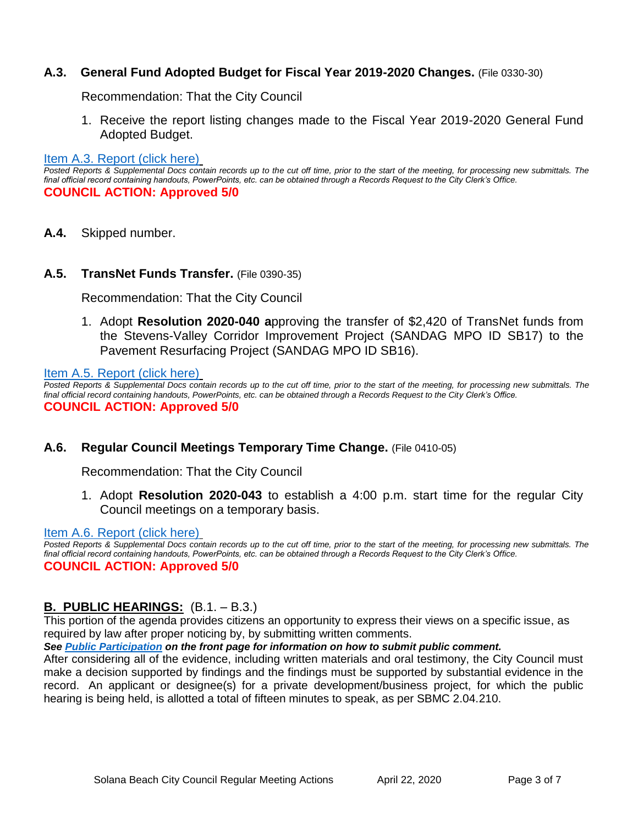## **A.3. General Fund Adopted Budget for Fiscal Year 2019-2020 Changes.** (File 0330-30)

Recommendation: That the City Council

1. Receive the report listing changes made to the Fiscal Year 2019-2020 General Fund Adopted Budget.

#### [Item A.3. Report \(click here\)](https://solanabeach.govoffice3.com/vertical/Sites/%7B840804C2-F869-4904-9AE3-720581350CE7%7D/uploads/Item_A.3._Report_(click_here)_04-22-20_-_O.pdf)

*Posted Reports & Supplemental Docs contain records up to the cut off time, prior to the start of the meeting, for processing new submittals. The final official record containing handouts, PowerPoints, etc. can be obtained through a Records Request to the City Clerk's Office.* **COUNCIL ACTION: Approved 5/0**

**A.4.** Skipped number.

#### **A.5. TransNet Funds Transfer.** (File 0390-35)

Recommendation: That the City Council

1. Adopt **Resolution 2020-040 a**pproving the transfer of \$2,420 of TransNet funds from the Stevens-Valley Corridor Improvement Project (SANDAG MPO ID SB17) to the Pavement Resurfacing Project (SANDAG MPO ID SB16).

[Item A.5. Report \(click here\)](https://solanabeach.govoffice3.com/vertical/Sites/%7B840804C2-F869-4904-9AE3-720581350CE7%7D/uploads/Item_A.5._Report_(click_here)_04-22-20_-_O.pdf)

*Posted Reports & Supplemental Docs contain records up to the cut off time, prior to the start of the meeting, for processing new submittals. The final official record containing handouts, PowerPoints, etc. can be obtained through a Records Request to the City Clerk's Office.* **COUNCIL ACTION: Approved 5/0**

## **A.6. Regular Council Meetings Temporary Time Change.** (File 0410-05)

Recommendation: That the City Council

1. Adopt **Resolution 2020-043** to establish a 4:00 p.m. start time for the regular City Council meetings on a temporary basis.

#### [Item A.6. Report \(click here\)](https://solanabeach.govoffice3.com/vertical/Sites/%7B840804C2-F869-4904-9AE3-720581350CE7%7D/uploads/Item_A.6._Report_(click_here)_04-22-20_-_O.pdf)

*Posted Reports & Supplemental Docs contain records up to the cut off time, prior to the start of the meeting, for processing new submittals. The final official record containing handouts, PowerPoints, etc. can be obtained through a Records Request to the City Clerk's Office.* **COUNCIL ACTION: Approved 5/0**

## **B. PUBLIC HEARINGS:** (B.1. – B.3.)

This portion of the agenda provides citizens an opportunity to express their views on a specific issue, as required by law after proper noticing by, by submitting written comments.

*See [Public Participation](#page-0-0) on the front page for information on how to submit public comment.* 

After considering all of the evidence, including written materials and oral testimony, the City Council must make a decision supported by findings and the findings must be supported by substantial evidence in the record. An applicant or designee(s) for a private development/business project, for which the public hearing is being held, is allotted a total of fifteen minutes to speak, as per SBMC 2.04.210.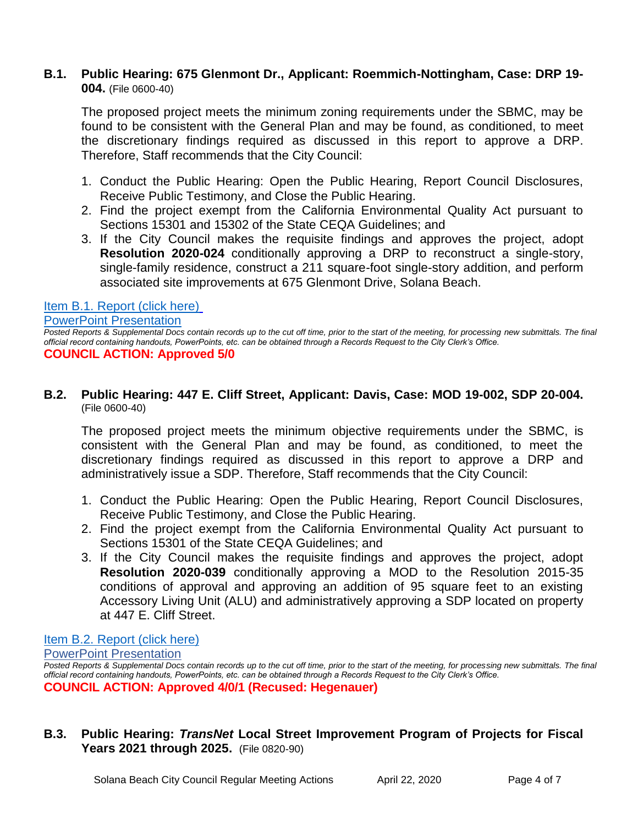## **B.1. Public Hearing: 675 Glenmont Dr., Applicant: Roemmich-Nottingham, Case: DRP 19- 004.** (File 0600-40)

The proposed project meets the minimum zoning requirements under the SBMC, may be found to be consistent with the General Plan and may be found, as conditioned, to meet the discretionary findings required as discussed in this report to approve a DRP. Therefore, Staff recommends that the City Council:

- 1. Conduct the Public Hearing: Open the Public Hearing, Report Council Disclosures, Receive Public Testimony, and Close the Public Hearing.
- 2. Find the project exempt from the California Environmental Quality Act pursuant to Sections 15301 and 15302 of the State CEQA Guidelines; and
- 3. If the City Council makes the requisite findings and approves the project, adopt **Resolution 2020-024** conditionally approving a DRP to reconstruct a single-story, single-family residence, construct a 211 square-foot single-story addition, and perform associated site improvements at 675 Glenmont Drive, Solana Beach.

## [Item B.1. Report \(click here\)](https://solanabeach.govoffice3.com/vertical/Sites/%7B840804C2-F869-4904-9AE3-720581350CE7%7D/uploads/Item_B.1._Report_(click_here)_04-22-20_-_O.pdf)

[PowerPoint Presentation](https://solanabeach.govoffice3.com/vertical/Sites/%7B840804C2-F869-4904-9AE3-720581350CE7%7D/uploads/B.1._Staff_Davis_presentation.pptx)

*Posted Reports & Supplemental Docs contain records up to the cut off time, prior to the start of the meeting, for processing new submittals. The final official record containing handouts, PowerPoints, etc. can be obtained through a Records Request to the City Clerk's Office.* **COUNCIL ACTION: Approved 5/0**

## **B.2. Public Hearing: 447 E. Cliff Street, Applicant: Davis, Case: MOD 19-002, SDP 20-004.**  (File 0600-40)

The proposed project meets the minimum objective requirements under the SBMC, is consistent with the General Plan and may be found, as conditioned, to meet the discretionary findings required as discussed in this report to approve a DRP and administratively issue a SDP. Therefore, Staff recommends that the City Council:

- 1. Conduct the Public Hearing: Open the Public Hearing, Report Council Disclosures, Receive Public Testimony, and Close the Public Hearing.
- 2. Find the project exempt from the California Environmental Quality Act pursuant to Sections 15301 of the State CEQA Guidelines; and
- 3. If the City Council makes the requisite findings and approves the project, adopt **Resolution 2020-039** conditionally approving a MOD to the Resolution 2015-35 conditions of approval and approving an addition of 95 square feet to an existing Accessory Living Unit (ALU) and administratively approving a SDP located on property at 447 E. Cliff Street.

## [Item B.2. Report \(click here\)](https://solanabeach.govoffice3.com/vertical/Sites/%7B840804C2-F869-4904-9AE3-720581350CE7%7D/uploads/Item_B.2._Report_(click_here)_04-22-20_-_O.pdf)

[PowerPoint Presentation](https://solanabeach.govoffice3.com/vertical/Sites/%7B840804C2-F869-4904-9AE3-720581350CE7%7D/uploads/B.2_Staff_-_PH-_675_Glenmont_-_Roemmich-Nottingham_Cont_Hearing.pptx) *Posted Reports & Supplemental Docs contain records up to the cut off time, prior to the start of the meeting, for processing new submittals. The final official record containing handouts, PowerPoints, etc. can be obtained through a Records Request to the City Clerk's Office.* **COUNCIL ACTION: Approved 4/0/1 (Recused: Hegenauer)** 

**B.3. Public Hearing:** *TransNet* **Local Street Improvement Program of Projects for Fiscal Years 2021 through 2025.** (File 0820-90)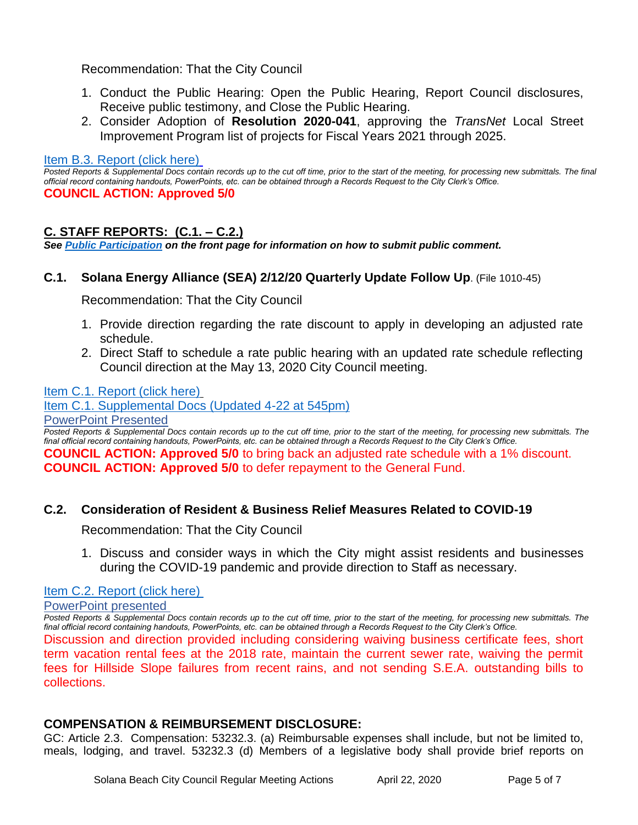## Recommendation: That the City Council

- 1. Conduct the Public Hearing: Open the Public Hearing, Report Council disclosures, Receive public testimony, and Close the Public Hearing.
- 2. Consider Adoption of **Resolution 2020-041**, approving the *TransNet* Local Street Improvement Program list of projects for Fiscal Years 2021 through 2025.

#### [Item B.3. Report \(click here\)](https://solanabeach.govoffice3.com/vertical/Sites/%7B840804C2-F869-4904-9AE3-720581350CE7%7D/uploads/Item_B.3._Report_(click_here)_04-22-20_-_O.pdf)

*Posted Reports & Supplemental Docs contain records up to the cut off time, prior to the start of the meeting, for processing new submittals. The final official record containing handouts, PowerPoints, etc. can be obtained through a Records Request to the City Clerk's Office.* **COUNCIL ACTION: Approved 5/0**

## **C. STAFF REPORTS: (C.1. – C.2.)**

*See [Public Participation](#page-0-0) on the front page for information on how to submit public comment.* 

## **C.1. Solana Energy Alliance (SEA) 2/12/20 Quarterly Update Follow Up**. (File 1010-45)

Recommendation: That the City Council

- 1. Provide direction regarding the rate discount to apply in developing an adjusted rate schedule.
- 2. Direct Staff to schedule a rate public hearing with an updated rate schedule reflecting Council direction at the May 13, 2020 City Council meeting.

## [Item C.1. Report \(click here\)](https://solanabeach.govoffice3.com/vertical/Sites/%7B840804C2-F869-4904-9AE3-720581350CE7%7D/uploads/Item_C.1._Report_(click_here)_04-22-20_-_O.pdf)

[Item C.1. Supplemental Docs \(Updated 4-22 at 545pm\)](https://solanabeach.govoffice3.com/vertical/Sites/%7B840804C2-F869-4904-9AE3-720581350CE7%7D/uploads/Item_C.1._Supplemental_Docs_(Updated_4-22_545pm)_-_O.pdf)

[PowerPoint Presented](https://solanabeach.govoffice3.com/vertical/Sites/%7B840804C2-F869-4904-9AE3-720581350CE7%7D/uploads/C.1._Staff_SEA__2020_04_22_Draft_v2.pptx)

*Posted Reports & Supplemental Docs contain records up to the cut off time, prior to the start of the meeting, for processing new submittals. The final official record containing handouts, PowerPoints, etc. can be obtained through a Records Request to the City Clerk's Office.* **COUNCIL ACTION: Approved 5/0** to bring back an adjusted rate schedule with a 1% discount. **COUNCIL ACTION: Approved 5/0** to defer repayment to the General Fund.

## **C.2. Consideration of Resident & Business Relief Measures Related to COVID-19**

Recommendation: That the City Council

1. Discuss and consider ways in which the City might assist residents and businesses during the COVID-19 pandemic and provide direction to Staff as necessary.

#### [Item C.2. Report \(click here\)](https://solanabeach.govoffice3.com/vertical/Sites/%7B840804C2-F869-4904-9AE3-720581350CE7%7D/uploads/Item_C.2._Report_(click_here)_04-22-20.pdf)

[PowerPoint presented](https://solanabeach.govoffice3.com/vertical/Sites/%7B840804C2-F869-4904-9AE3-720581350CE7%7D/uploads/C.2._Staff_Resident__Business_Relief_Measures_-_Covid-19.pptx)

*Posted Reports & Supplemental Docs contain records up to the cut off time, prior to the start of the meeting, for processing new submittals. The final official record containing handouts, PowerPoints, etc. can be obtained through a Records Request to the City Clerk's Office.* Discussion and direction provided including considering waiving business certificate fees, short term vacation rental fees at the 2018 rate, maintain the current sewer rate, waiving the permit fees for Hillside Slope failures from recent rains, and not sending S.E.A. outstanding bills to collections.

## **COMPENSATION & REIMBURSEMENT DISCLOSURE:**

GC: Article 2.3. Compensation: 53232.3. (a) Reimbursable expenses shall include, but not be limited to, meals, lodging, and travel. 53232.3 (d) Members of a legislative body shall provide brief reports on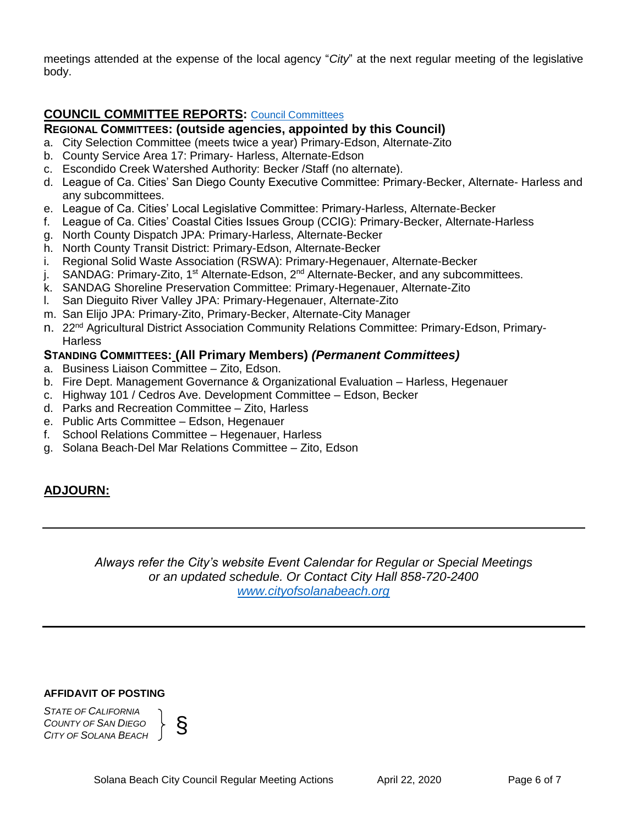meetings attended at the expense of the local agency "*City*" at the next regular meeting of the legislative body.

# **COUNCIL COMMITTEE REPORTS:** [Council Committees](https://www.ci.solana-beach.ca.us/index.asp?SEC=584E1192-3850-46EA-B977-088AC3E81E0D&Type=B_BASIC)

## **REGIONAL COMMITTEES: (outside agencies, appointed by this Council)**

- a. City Selection Committee (meets twice a year) Primary-Edson, Alternate-Zito
- b. County Service Area 17: Primary- Harless, Alternate-Edson
- c. Escondido Creek Watershed Authority: Becker /Staff (no alternate).
- d. League of Ca. Cities' San Diego County Executive Committee: Primary-Becker, Alternate- Harless and any subcommittees.
- e. League of Ca. Cities' Local Legislative Committee: Primary-Harless, Alternate-Becker
- f. League of Ca. Cities' Coastal Cities Issues Group (CCIG): Primary-Becker, Alternate-Harless
- g. North County Dispatch JPA: Primary-Harless, Alternate-Becker
- h. North County Transit District: Primary-Edson, Alternate-Becker
- i. Regional Solid Waste Association (RSWA): Primary-Hegenauer, Alternate-Becker
- j. SANDAG: Primary-Zito, 1<sup>st</sup> Alternate-Edson, 2<sup>nd</sup> Alternate-Becker, and any subcommittees.
- k. SANDAG Shoreline Preservation Committee: Primary-Hegenauer, Alternate-Zito
- l. San Dieguito River Valley JPA: Primary-Hegenauer, Alternate-Zito
- m. San Elijo JPA: Primary-Zito, Primary-Becker, Alternate-City Manager
- n. 22<sup>nd</sup> Agricultural District Association Community Relations Committee: Primary-Edson, Primary-**Harless**

## **STANDING COMMITTEES: (All Primary Members)** *(Permanent Committees)*

- a. Business Liaison Committee Zito, Edson.
- b. Fire Dept. Management Governance & Organizational Evaluation Harless, Hegenauer
- c. Highway 101 / Cedros Ave. Development Committee Edson, Becker
- d. Parks and Recreation Committee Zito, Harless
- e. Public Arts Committee Edson, Hegenauer
- f. School Relations Committee Hegenauer, Harless
- g. Solana Beach-Del Mar Relations Committee Zito, Edson

# **ADJOURN:**

*Always refer the City's website Event Calendar for Regular or Special Meetings or an updated schedule. Or Contact City Hall 858-720-2400 [www.cityofsolanabeach.org](http://www.cityofsolanabeach.org/)* 

#### **AFFIDAVIT OF POSTING**

*STATE OF CALIFORNIA COUNTY OF SAN DIEGO COLNTE OF CALIFORNIA*<br>*COUNTY OF SAN DIEGO*<br>*CITY OF SOLANA BEACH*  $\int$